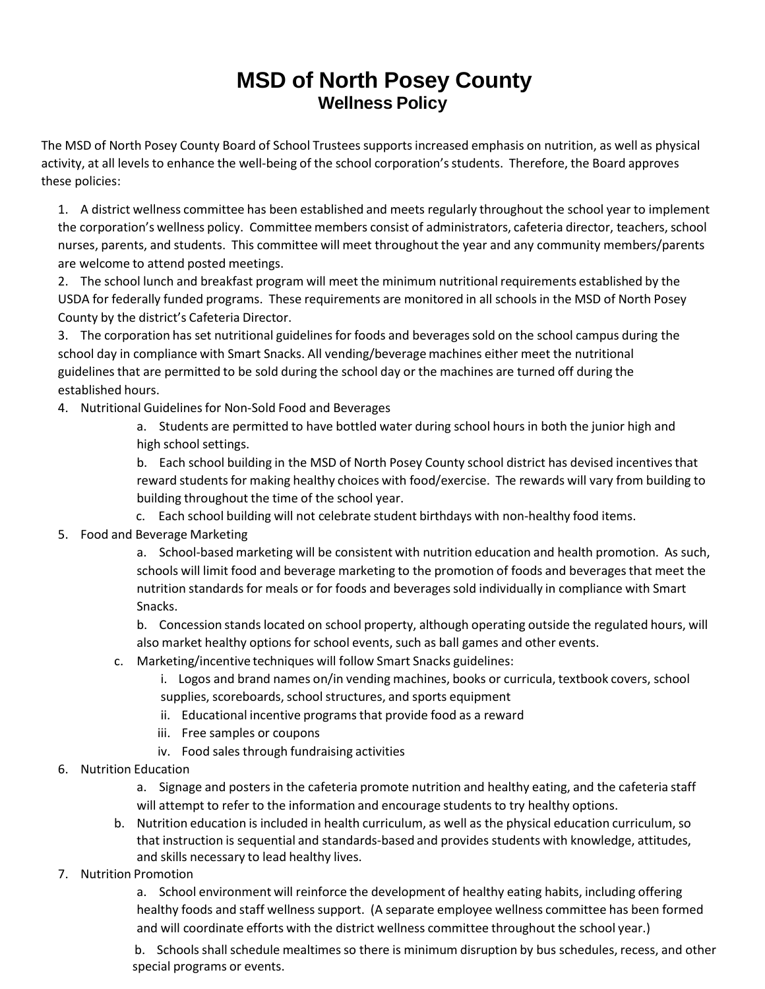## **MSD of North Posey County Wellness Policy**

The MSD of North Posey County Board of School Trustees supports increased emphasis on nutrition, as well as physical activity, at all levels to enhance the well-being of the school corporation's students. Therefore, the Board approves these policies:

1. A district wellness committee has been established and meets regularly throughout the school year to implement the corporation's wellness policy. Committee members consist of administrators, cafeteria director, teachers, school nurses, parents, and students. This committee will meet throughout the year and any community members/parents are welcome to attend posted meetings.

2. The school lunch and breakfast program will meet the minimum nutritional requirements established by the USDA for federally funded programs. These requirements are monitored in all schools in the MSD of North Posey County by the district's Cafeteria Director.

3. The corporation has set nutritional guidelinesfor foods and beveragessold on the school campus during the school day in compliance with Smart Snacks. All vending/beverage machines either meet the nutritional guidelinesthat are permitted to be sold during the school day or the machines are turned off during the established hours.

4. Nutritional Guidelines for Non-Sold Food and Beverages

a. Students are permitted to have bottled water during school hours in both the junior high and high school settings.

b. Each school building in the MSD of North Posey County school district has devised incentivesthat reward students for making healthy choices with food/exercise. The rewards will vary from building to building throughout the time of the school year.

- c. Each school building will not celebrate student birthdays with non‐healthy food items.
- 5. Food and Beverage Marketing

a. School‐based marketing will be consistent with nutrition education and health promotion. As such, schools will limit food and beverage marketing to the promotion of foods and beveragesthat meet the nutrition standardsfor meals or for foods and beveragessold individually in compliance with Smart Snacks.

b. Concession stands located on school property, although operating outside the regulated hours, will also market healthy options for school events, such as ball games and other events.

c. Marketing/incentive techniques will follow Smart Snacks guidelines:

i. Logos and brand names on/in vending machines, books or curricula, textbook covers, school

- supplies, scoreboards, school structures, and sports equipment
- ii. Educational incentive programs that provide food as a reward
- iii. Free samples or coupons
- iv. Food sales through fundraising activities
- 6. Nutrition Education

a. Signage and posters in the cafeteria promote nutrition and healthy eating, and the cafeteria staff will attempt to refer to the information and encourage students to try healthy options.

- b. Nutrition education is included in health curriculum, as well as the physical education curriculum,so that instruction is sequential and standards‐based and provides students with knowledge, attitudes, and skills necessary to lead healthy lives.
- 7. Nutrition Promotion

a. School environment will reinforce the development of healthy eating habits, including offering healthy foods and staff wellness support. (A separate employee wellness committee has been formed and will coordinate efforts with the district wellness committee throughout the school year.)

b. Schools shall schedule mealtimes so there is minimum disruption by bus schedules, recess, and other special programs or events.